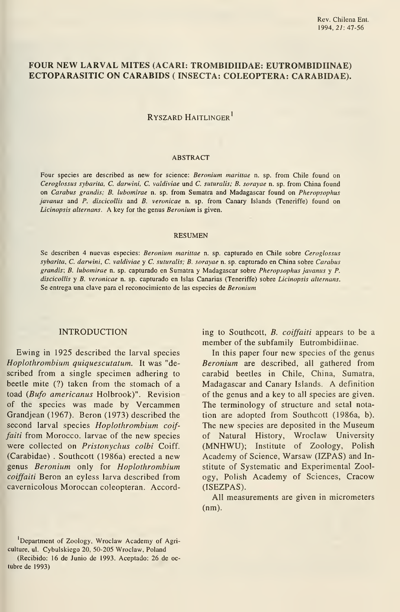# FOUR NEW LARVAL MITES (ACARI: TROMBIDIIDAE: EUTROMBIDIINAE) ECTOPARASITIC ON CARABIDS ( INSECTA: COLEÓPTERA: CARABIDAE).

# Ryszard Haitlinger

#### ABSTRACT

Four species are described as new for science: Beronium marittae n. sp. from Chile found on Ceroglossus sybarita, C. darwini, C. valdiviae und C. suturalis; B. sorayae n. sp. from China found on Carabus grandis; B. lubomirae n. sp. from Sumatra and Madagascar found on Pheropsophus javanus and P. discicollis and B. veronicae n. sp. from Canary Islands (Teneriffe) found on Licinopsis alternans. A key for the genus Beronium is given.

#### RESUMEN

Se describen 4 nuevas especies: Beronium marittae n. sp. capturado en Chile sobre Ceroglossus sybarita, C. darwini, C. valdiviae y C. suturalis; B. sorayae n. sp. capturado en China sobre Carabus grandis; B. lubomirae n. sp. capturado en Sumatra y Madagascar sobre Pheropsophus javanus y P. discicollis y B. veronicae n. sp. capturado en Islas Canarias (Teneriffe) sobre Licinopsis alternans. Se entrega una clave para el reconocimiento de las especies de Beronium

#### INTRODUCTION

Ewing in 1925 described the larval species Hoplothrombium quiquescutatum. It was "de scribed from a single specimen adhering to beetle mite (?) taken from the stomach of a toad (Bufo americanus Holbrook)". Revision of the species was made by Vercammen Grandjean (1967). Beron (1973) described the second larval species Hoplothrombium coiffaiti from Morocco. larvae of the new species were collected on Pristonychus colbi Coiff. (Carabidae) . Southcott (1986a) erected a new genus Beronium only for Hoplothrombium coiffaiti Beron an eyless larva described from cavernicolous Moroccan coleopteran. According to Southcott,  $B.$  *coiffaiti* appears to be a member of the subfamily Eutrombidiinae.

In this paper four new species of the genus Beronium are described, all gathered from carabid beetles in Chile, China, Sumatra, Madagascar and Canary Islands. A definition of the genus and a key to all species are given. The terminology of structure and setal notation are adopted from Southcott (1986a, b). The new species are deposited in the Museum of Natural History, Wroclaw University (MNHWU); Institute of Zoology, Polish Academy of Science, Warsaw (IZPAS) and Institute of Systematic and Experimental Zoology, Polish Academy of Sciences, Cracow (ISEZPAS).

All measurements are given in micrometers (nm).

Department of Zoology, Wroclaw Academy of Agriculture, ul. Cybulskiego 20, 50-205 Wroclaw, Poland

<sup>(</sup>Recibido: 16 de Junio de 1993. Aceptado: 26 de octubre de 1993)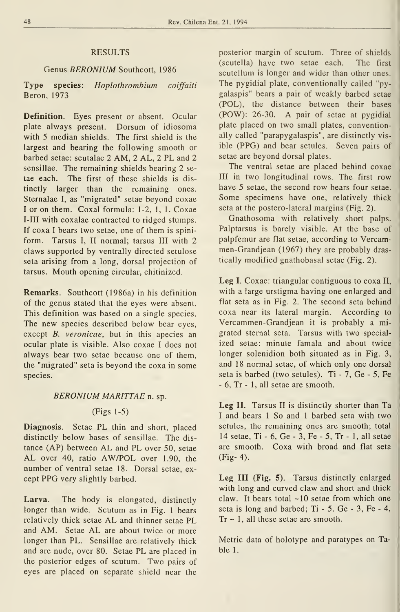# RESULTS

# Genus BERONIUM Southcott, 1986

Type species: Hoplothrombium coiffaiti Beron, 1973

Defínitíon. Eyes present or absent. Ocular plate always present. Dorsum of idiosoma with 5 median shields. The first shield is the largest and bearing the following smooth or barbed setae: scutalae 2 AM, 2 AL, 2 PL and 2 sensillae. The remaining shields bearing 2 se tae each. The first of these shields is distinctly larger than the remaining ones. Sternalae I, as "migrated" setae beyond coxae <sup>I</sup> or on them. Coxal formula: 1-2, 1, 1. Coxae I-III with coxalae contracted to ridged stumps. If coxa <sup>I</sup> bears two setae, one of them is spiniform. Tarsus I, II normal; tarsus III with 2 claws supported by ventrally directed setulose seta arising from a long, dorsal projection of tarsus. Mouth opening circular, chitinized.

Remarks. Southcott (1986a) in his definition of the genus stated that the eyes were absent. This definition was based on a single species. The new species described below bear eyes, except B. veronicae, but in this apecies an ocular píate is visible. Also coxae <sup>I</sup> does not always bear two setae because one of them, the "migrated" seta is beyond the coxa in some species.

#### BERONIUM MARITTAE n. sp.

# (Figs 1-5)

Diagnosis. Setae PL thin and short, placed distinctly below bases of sensillae. The dis tance (AP) between AL and PL over 50, setae AL over 40, ratio AW/POL over 1.90, the number of ventral setae 18. Dorsal setae, ex cept PPG very slightly barbed.

Larva. The body is elongated, distinctly longer than wide. Scutum as in Fig. <sup>1</sup> bears relatively thick setae AL and thinner setae PL and AM. Setae AL are about twice or more longer than PL. Sensillae are relatively thick and are nude, over 80. Setae PL are placed in the posterior edges of scutum. Two pairs of eyes are placed on separate shield near the posterior margin of scutum. Three of shields (scutella) have two setae each. The first scutellum is longer and wider than other ones. The pygidial plate, conventionally called "pygalaspis" bears a pair of weakly barbed setae (POL), the distance between their bases (POW): 26-30. A pair of setae at pygidial plate placed on two small plates, conventionally called "parapygalaspis", are distinctly vis ible (PPG) and bear setules. Seven pairs of setae are beyond dorsal plates.

The ventral setae are placed behind coxae III in two longitudinal rows. The first row have 5 setae, the second row bears four setae. Some specimens have one, relatively thick seta at the postero-lateral margins (Fig. 2).

Gnathosoma with relatively short palps. Palptarsus is barely visible. At the base of palpfemur are flat setae, according to Vercammen-Grandjean (1967) they are probably drastically modified gnathobasal setae (Fig. 2).

Leg I. Coxae: triangular contiguous to coxa II, with a large urstigma having one enlarged and flat seta as in Fig. 2. The second seta behind coxa near its lateral margin. According to Vercammen-Grandjean it is probably a migrated sternal seta. Tarsus with two specialized setae: minute famala and about twice longer solenidion both situated as in Fig. 3, and 18 normal setae, of which only one dorsal seta is barbed (two setules). Ti - 7, Ge - 5, Fe - 6, Tr - 1, all setae are smooth.

Leg II. Tarsus II is distinctly shorter than Ta <sup>I</sup> and bears <sup>1</sup> So and <sup>1</sup> barbed seta with two setules, the remaining ones are smooth; total 14 setae. Ti - 6, Ge - 3, Fe - 5, Tr - 1, all setae are smooth. Coxa with broad and flat seta (Fig- 4).

Leg III (Fig. 5). Tarsus distinctly enlarged with long and curved claw and short and thick claw. It bears total  $\sim$ 10 setae from which one seta is long and barbed; Ti - 5. Ge - 3, Fe - 4,  $Tr \sim 1$ , all these setae are smooth.

Metric data of holotype and paratypes on Table 1.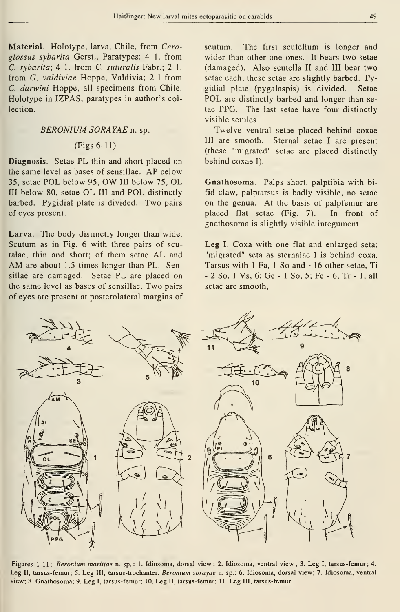Material. Holotype, larva, Chile, from Ceroglossus sybarita Gerst.. Paratypes: 4 1. from C. sybarita; 4 1. from C. suturalis Fabr.; 2 1. from G, valdiviae Hoppe, Valdivia; 2 <sup>1</sup> from C. darwini Hoppe, all specimens from Chile. Holotype in IZPAS, paratypes in author's collection.

# BERONIUM SORAYAE n. sp.

# $(Figs 6-11)$

Diagnosis. Setae PL thin and short placed on the same level as bases of sensillae. AP below 35, setae POL below 95, OW III below 75, OL III below 80, setae OL III and POL distinctly barbed. Pygidial plate is divided. Two pairs of eyes present.

Larva. The body distinctly longer than wide. Scutum as in Fig. 6 with three pairs of scutalae, thin and short; of them setae AL and AM are about 1.5 times longer than PL. Sensillae are damaged. Setae PL are placed on the same level as bases of sensillae. Two pairs of eyes are present at posterolateral margins of scutum. The first scutellum is longer and wider than other one ones. It bears two setae (damaged). Also scutella II and III bear two setae each; these setae are slightly barbed. Pygidial píate (pygalaspis) is divided. Setae POL are distinctly barbed and longer than se tae PPG. The last setae have four distinctly visible setules.

Twelve ventral setae placed behind coxae III are smooth. Sternal setae <sup>I</sup> are present (these "migrated" setae are placed distinctly behind coxae I).

Gnathosoma. Palps short, palptibia with bi fid claw, palptarsus is badly visible, no setae on the genua. At the basis of palpfemur are placed fíat setae (Fig. 7). In front of gnathosoma is slightly visible integument.

Leg I. Coxa with one flat and enlarged seta; "migrated" seta as sternalae <sup>I</sup> is behind coxa. Tarsus with 1 Fa, 1 So and ~16 other setae, Ti - 2 So, <sup>1</sup> Vs, 6; Ge - <sup>1</sup> So, 5; Fe - 6; Tr - 1; all setae are smooth,



Figures 1-11: Beronium marittae n. sp.: 1. Idiosoma, dorsal view ; 2. Idiosoma, ventral view ; 3. Leg I, tarsus-femur; 4. Leg II, tarsus-femur; 5. Leg III, tarsus-trochanter. Beronium sorayae n. sp.: 6. Idiosoma, dorsal view; 7. Idiosoma, ventral view; 8. Gnathosoma; 9. Leg I, tarsus-femur; 10. Leg II, tarsus-femur; 11. Leg III, tarsus-femur.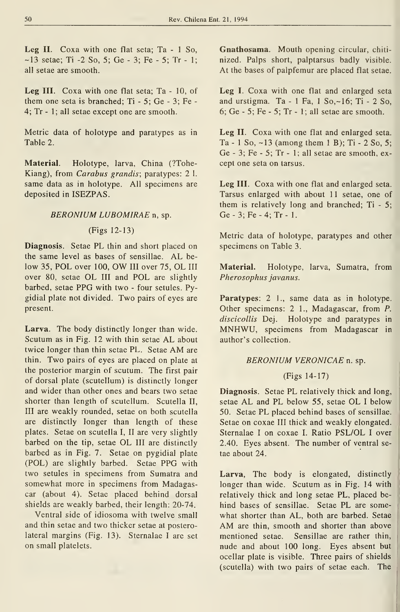Leg II. Coxa with one flat seta; Ta - 1 So,  $-13$  setae; Ti  $-2$  So, 5; Ge  $-3$ ; Fe  $-5$ ; Tr  $-1$ ; all setae are smooth.

Leg III. Coxa with one flat seta; Ta - 10, of them one seta is branched; Ti - 5; Ge - 3; Fe - 4; Tr - 1; all setae except one are smooth.

Metric data of holotype and paratypes as in Table 2.

Material. Holotype, larva, China (?Tohe-Kiang), from Carabus grandis; paratypes: 2 l. same data as in holotype. All specimens are deposited in ISEZPAS.

# BERONIUM LUBOMIRAE n, sp.

# (Figs 12-13)

Diagnosis. Setae PL thin and short placed on the same level as bases of sensillae. AL be low 35, POL over 100, OW III over 75, OL III over 80, setae OL III and POL are slightly barbed, setae PPG with two - four setules. Pygidial plate not divided. Two pairs of eyes are present.

Larva. The body distinctly longer than wide. Scutum as in Fig. <sup>12</sup> with thin setae AL about twice longer than thin setae PL. Setae AM are thin. Two pairs of eyes are placed on píate at the posterior margin of scutum. The first pair of dorsal píate (scutellum) is distinctly longer and wider than other ones and bears two setae shorter than length of scutellum. Scutella II, III are weakly rounded, setae on both scutella are distinctly longer than length of these plates. Setae on scutella I, II are very slightly barbed on the tip, setae OL III are distinctly barbed as in Fig. 7. Setae on pygidial plate (POL) are slightly barbed. Setae PPG with two setules in specimens from Sumatra and somewhat more in specimens from Madagascar (about 4). Setae placed behind dorsal shields are weakly barbed, their length: 20-74.

Ventral side of idiosoma with twelve small and thin setae and two thicker setae at posterolateral margins (Fig. 13). Sternalae <sup>I</sup> are set on small platelets.

Gnathosama. Mouth opening circular, chiti nized. Palps short, palptarsus badly visible. At the bases of palpfemur are placed flat setae.

Leg I. Coxa with one flat and enlarged seta and urstigma. Ta - 1 Fa,  $1$  So,  $\sim$  16; Ti - 2 So, 6; Ge - 5; Fe - 5; Tr - 1; all setae are smooth.

Leg II. Coxa with one flat and enlarged seta. Ta - 1 So,  $\sim$  13 (among them 1 B); Ti - 2 So, 5; Ge - 3; Fe - 5; Tr - 1; all setae are smooth, ex cept one seta on tarsus.

Leg III. Coxa with one flat and enlarged seta. Tarsus enlarged with about 11 setae, one of them is relatively long and branched; Ti - 5; Ge-3;Fe-4;Tr- 1.

Metric data of holotype, paratypes and other specimens on Table 3.

Material. Holotype, larva, Sumatra, from Pherosophus javanus.

Paratypes: 2 1., same data as in holotype. Other specimens: 2 1., Madagascar, from P. discicollis Dej. Holotype and paratypes in MNHWU, specimens from Madagascar in author's collection.

# BERONIUM VERONICAE n. sp.

#### (Figs 14-17)

Diagnosis. Setae PL relatively thick and long, setae AL and PL below 55, setae OL <sup>I</sup> below 50. Setae PL placed behind bases of sensillae. Setae on coxae III thick and weakly elongated. Sternalae I on coxae I. Ratio PSL/OL I over 2.40. Eyes absent. The number of ventral se tae about 24.

Larva, The body is elongated, distinctly longer than wide. Scutum as in Fig. 14 with relatively thick and long setae PL, placed be hind bases of sensillae. Setae PL are some what shorter than AL, both are barbed. Setae AM are thin, smooth and shorter than above mentioned setae. Sensillae are rather thin, nude and about 100 long. Eyes absent but ocellar plate is visible. Three pairs of shields (scutella) with two pairs of setae each. The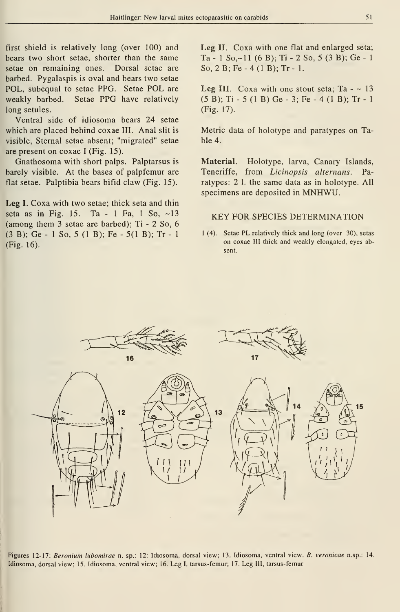first shield is relatively long (over 100) and bears two short setae, shorter than the same setae on remaining ones. Dorsal setae are barbed. Pygalaspis is oval and bears two setae POL, subequal to setae PPG. Setae POL are weakly barbed. Setae PPG have relatively long setules.

Ventral side of idiosoma bears 24 setae which are placed behind coxae III. Anal slit is visible, Sternal setae absent; "migrated" setae are present on coxae <sup>I</sup> (Fig. 15).

Gnathosoma with short palps. Palptarsus is barely visible. At the bases of palpfemur are flat setae. Palptibia bears bifid claw (Fig. 15).

Leg I. Coxa with two setae; thick seta and thin seta as in Fig. 15. Ta - <sup>1</sup> Fa, <sup>1</sup> So, -13 (among them 3 setae are barbed); Ti - 2 So, 6 (3 B); Ge - <sup>1</sup> So, 5 (1 B); Fe - 5(1 B); Tr - <sup>1</sup> (Fig. 16).

Leg II. Coxa with one flat and enlarged seta; Ta - 1 So, ~ 11 (6 B); Ti - 2 So, 5 (3 B); Ge - 1 So, 2 B; Fe - 4 (1 B); Tr - 1.

Leg III. Coxa with one stout seta;  $Ta - 13$ (5 B); Ti - 5 (1 B) Ge - 3; Fe - 4 (1 B); Tr - <sup>1</sup> (Fig. 17).

Metric data of holotype and paratypes on Table 4.

Material. Holotype, larva, Canary Islands, Teneriffe, from Licinopsis alternans. Paratypes: 2 l. the same data as in holotype. All specimens are deposited in MNHWU.

### KEY FOR SPECIES DETERMINATION

<sup>1</sup> (4). Setae PL relatively thick and long (over 30), setas on coxae III thick and weakly elongated, eyes absent.



Figures 12-17: Beronium lubomirae n. sp.: 12: Idiosoma, dorsal view; 13. Idiosoma, ventral view. B. veronicae n.sp.: 14. Idiosoma, dorsal view; 15. Idiosoma, ventral view; 16. Leg I, tarsus-femur; 17. Leg III, tarsus-femur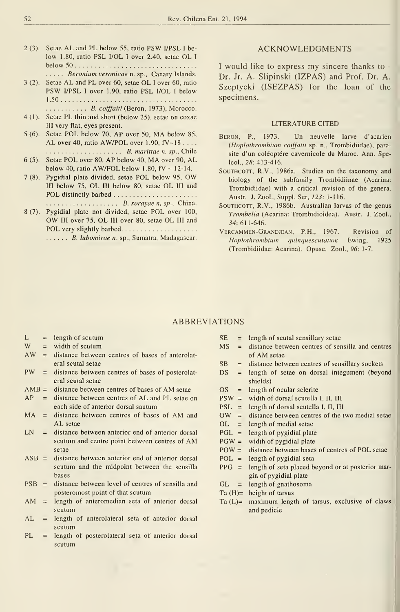- <sup>2</sup> (3). Setae AL and PL below 55, ratio PSW I/PSL <sup>I</sup> be low 1.80, ratio PSL I/OL <sup>I</sup> over 2.40, setae OL <sup>I</sup> below 50..... Beronium veronicae n. sp., Canary Islands.
- <sup>3</sup> (2). Setae AL and PL over 60, setae OL <sup>I</sup> over 60, ratio PSW I/PSL <sup>I</sup> over 1.90, ratio PSL I/OL <sup>1</sup> below 1.50 .......... B. coiffaiti (Beron, 1973), Morocco.
- 4(1). Setae PL thin and short (below 25). setae on coxae III very flat, eyes present.
- <sup>5</sup> (6). Setae POL below 70, AP over 50, MA below 85, AL over 40, ratio AW/POL over 1.90, fV~18 . . . . B. marittae n. sp., Chile
- <sup>6</sup> (5). Setae POL over 80, AP below 40, MA over 90, AL below 40, ratio AW/FOL below 1.80,  $fV \sim 12-14$ .
- <sup>7</sup> (8). Pygidial píate divided, setae POL below 95, OW III below 75, OL III below 80, setae OL III and POL distinctly barbed B. sorayae n, sp.. China.
- <sup>8</sup> (7). Pygidial píate not divided, setae POL over 100, OW III over 75, OL III over 80, setae OL III and POL very slightly barbed.................... ...... B. lubomirae n. sp., Sumatra, Madagascar.

### ACKNOWLEDGMENTS

<sup>I</sup> would like to express my sincere thanks to - Dr. Jr. A. Slipinski (IZPAS) and Prof. Dr. A. Szeptycki (ISEZPAS) for the loan of the specimens.

#### LITERATURE CITED

- Beron, P., 1973. Un neuvelle larve d'acarien (Hoplothrombium coiffaiti sp. n., Trombidiidae), parasite d'un coléoptére cavernicole du Maroc. Ann. Speleol., 25:413-416.
- SouTHCOTT, R.V., 1986a. Studies on the taxonomy and biology of the subfamily Trombidiinae (Acarina: Trombidiidae) with a critical revision of the genera. Austr. J. Zool., Suppl. Ser, J23: 1-116.
- SOUTHCOTT, R.V., 1986b. Australian larvas of the genus Trombella (Acariña: Trombidioidea). Austr. J. Zool., 34: 611-646.
- Vercammen-Grandjean, P.H., 1967. Revisión of Hoplothrombium quinquescutatum Ewing, 1925 (Trombidiidae: Acariña). Opuse. Zool., 96: 1-7.

### ABBREVIATIONS

- 
- 
- L = length of scutum SE = W = width of scutum MS =  $\frac{NE}{NE}$  =  $\frac{M}{NE}$  = distance between centres of bases of anterolat- $\text{eval} \text{ actual} \text{ setae}$   $\text{SB} =$
- $PW =$  distance between centres of bases of posterolat- DS  $=$ eral scutal setae
- $AMB =$  distance between centres of bases of AM setae  $OS =$
- $AP =$  distance between centres of AL and PL setae on PSW = each side of anterior dorsal sautum PSL =  $MA$  = distance between centres of bases of AM and OW =
- AL setae OL =
- $LN = distance between anterior end of anterior dorsal$  PGL = scutum and centre point between centres of  $AM$   $PGW =$ setae  $POW =$
- $ASB =$  distance between anterior end of anterior dorsal POL = scutum and the midpoint between the sensilla PPG  $=$ bases
- $PSB =$  distance between level of centres of sensilla and posteromost point of that scutum
- AM = length of anteromedian seta of anterior dorsal Ta  $(L)$ = scutum
- $AL =$  length of anterolateral seta of anterior dorsal scutum
- PL = length of posterolateral seta of anterior dorsal scutum
- length of scutal sensillary setae
- distance between centres of sensilla and centres of AM setae
- distance between centres of sensillary sockets
- length of setae on dorsal integument (beyond shields)
- length of ocular sclerite
- width of dorsal scutella I, II, III
- length of dorsal scutella 1, II, III
- distance between centres of the two medial setae
- length of medial setae
- length of pygidial píate
- width of pygidial plate
- distance between bases of centres of POL setae
- length of pygidial seta
- length of seta placed beyond or at posterior margin of pygidial plate
- $GL = length of g$ nathosoma
- $Ta(H)=$  height of tarsus
- maximum length of tarsus, exclusive of claws and pedicle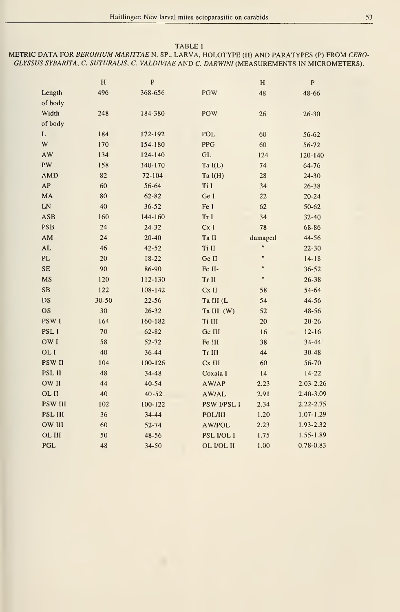#### TABLE 1

# METRIC DATA FOR BERONIUM MARITTAE N. SP., LARVA, HOLOTYPE (H) AND PARATYPES (P) FROM CERO-GLYSSUS SYBARITA, C. SUTURALIS, C. VALDIVIAE AND C. DARWINI (MEASUREMENTS IN MICROMETERS).

|                  | H         | ${\bf P}$   |                    | H                    | $\mathbf{P}$  |
|------------------|-----------|-------------|--------------------|----------------------|---------------|
| Length           | 496       | 368-656     | <b>PGW</b>         | 48                   | 48-66         |
| of body          |           |             |                    |                      |               |
| Width            | 248       | 184-380     | <b>POW</b>         | 26                   | $26 - 30$     |
| of body          |           |             |                    |                      |               |
| L                | 184       | 172-192     | <b>POL</b>         | 60                   | 56-62         |
| W                | 170       | 154-180     | PPG                | 60                   | 56-72         |
| AW               | 134       | 124-140     | <b>GL</b>          | 124                  | 120-140       |
| PW               | 158       | 140-170     | Ta $I(L)$          | 74                   | 64-76         |
| <b>AMD</b>       | 82        | 72-104      | Ta $I(H)$          | 28                   | $24 - 30$     |
| AP               | 60        | 56-64       | Ti I               | 34                   | $26 - 38$     |
| MA               | 80        | 62-82       | Ge 1               | 22                   | $20 - 24$     |
| LN               | 40        | $36 - 52$   | Fe l               | 62                   | 50-62         |
| <b>ASB</b>       | 160       | 144-160     | Tr I               | 34                   | $32 - 40$     |
| <b>PSB</b>       | 24        | $24 - 32$   | Cx I               | 78                   | 68-86         |
| AM               | 24        | $20 - 40$   | Ta II              | damaged              | 44-56         |
| <b>AL</b>        | 46        | $42 - 52$   | Ti II              | Ħ                    | $22 - 30$     |
| PL               | 20        | $18-22$     | Ge II              | $\mathbf{H}$         | $14 - 18$     |
| <b>SE</b>        | 90        | 86-90       | Fe II-             | $\mathbf{u}$         | $36 - 52$     |
| MS               | 120       | 112-130     | Tr II              | $\pmb{\mathfrak{m}}$ | 26-38         |
| SB               | 122       | 108-142     | Cx II              | 58                   | 54-64         |
| DS               | $30 - 50$ | $22 - 56$   | Ta III (L          | 54                   | 44-56         |
| <b>OS</b>        | 30        | $26 - 32$   | Ta III (W)         | 52                   | 48-56         |
| <b>PSWI</b>      | 164       | 160-182     | Ti III             | 20                   | $20 - 26$     |
| PSL <sub>I</sub> | 70        | 62-82       | Ge III             | 16                   | $12 - 16$     |
| OW I             | 58        | $52 - 72$   | Fe !11             | 38                   | 34-44         |
| OL I             | 40        | 36-44       | Tr III             | 44                   | $30 - 48$     |
| <b>PSW II</b>    | 104       | 100-126     | Cx III             | 60                   | $56 - 70$     |
| PSL II           | 48        | 34-48       | Coxala I           | 14                   | $14-22$       |
| OW II            | 44        | 40-54       | AW/AP              | 2.23                 | $2.03 - 2.26$ |
| OL II            | 40        | $40 - 52$   | AW/AL              | 2.91                 | 2.40-3.09     |
| <b>PSW III</b>   | 102       | $100 - 122$ | <b>PSW I/PSL I</b> | 2.34                 | $2.22 - 2.75$ |
| PSL III          | 36        | $34 - 44$   | POL/III            | 1.20                 | $1.07 - 1.29$ |
| <b>OW III</b>    | 60        | 52-74       | AW/POL             | 2.23                 | 1.93-2.32     |
| OL III           | 50        | 48-56       | PSL I/OL I         | 1.75                 | $1.55 - 1.89$ |
| PGL              | 48        | 34-50       | OL I/OL II         | 1.00                 | $0.78 - 0.83$ |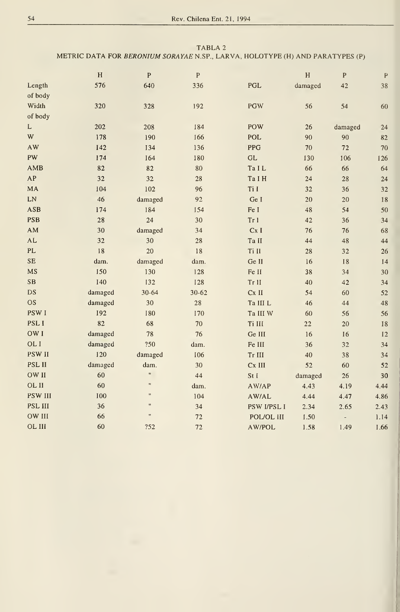### TABLA <sup>2</sup> METRIC DATA FOR BERONIUM SORAYAE N.SP., LARVA, HOLOTYPE (H) AND PARATYPES (P)

|                | H          | $\mathbf{P}$ | ${\bf P}$  |                     | H       | $\mathbf{P}$             | $\mathbf{P}$ |  |
|----------------|------------|--------------|------------|---------------------|---------|--------------------------|--------------|--|
| Length         | 576        | 640          | 336        | <b>PGL</b>          | damaged | 42                       | 38           |  |
| of body        |            |              |            |                     |         |                          |              |  |
| Width          | 320        | 328          | 192        | <b>PGW</b>          | 56      | 54                       | 60           |  |
| of body        |            |              |            |                     |         |                          |              |  |
| $\mathbf L$    | 202        | 208          | 184        | <b>POW</b>          | 26      | damaged                  | 24           |  |
| W              | 178        | 190          | 166        | POL                 | 90      | 90                       | 82           |  |
| <b>AW</b>      | <b>142</b> | <b>I34</b>   | 136        | PPG                 | 70      | 72                       | 70           |  |
| PW             | 174        | <b>I64</b>   | 180        | $\operatorname{GL}$ | 130     | 106                      | 126          |  |
| AMB            | 82         | 82           | 80         | Ta IL               | 66      | 66                       | 64           |  |
| AP             | 32         | 32           | 28         | Ta I H              | 24      | 28                       | 24           |  |
| MA             | 104        | 102          | 96         | Ti I                | 32      | 36                       | 32           |  |
| LN             | 46         | damaged      | 92         | Ge I                | 20      | 20                       | 18           |  |
| <b>ASB</b>     | 174        | 184          | 154        | Fe I                | 48      | 54                       | 50           |  |
| <b>PSB</b>     | 28         | 24           | 30         | Tr <sub>1</sub>     | 42      | 36                       | 34           |  |
| AM             | 30         | damaged      | 34         | Cx I                | 76      | 76                       | 68           |  |
| AL             | 32         | 30           | 28         | Ta II               | 44      | 48                       | 44           |  |
| PL             | 18         | 20           | 18         | Ti II               | 28      | 32                       | 26           |  |
| <b>SE</b>      | dam.       | damaged      | dam.       | Ge II               | 16      | <b>18</b>                | 14           |  |
| <b>MS</b>      | 150        | 130          | 128        | Fe II               | 38      | 34                       | 30           |  |
| <b>SB</b>      | <b>I40</b> | 132          | <b>I28</b> | Tr II               | 40      | 42                       | 34           |  |
| DS             | damaged    | $30 - 64$    | $30 - 62$  | Cx II               | 54      | 60                       | 52           |  |
| <b>OS</b>      | damaged    | 30           | 28         | Ta III L            | 46      | 44                       | 48           |  |
| <b>PSWI</b>    | <b>192</b> | 180          | 170        | Ta III W            | 60      | 56                       | 56           |  |
| PSL I          | 82         | 68           | 70         | Ti III              | 22      | 20                       | 18           |  |
| OW I           | damaged    | 78           | 76         | Ge III              | 16      | 16                       | 12           |  |
| OL I           | damaged    | ?50          | dam.       | Fe III              | 36      | 32                       | 34           |  |
| <b>PSW II</b>  | 120        | damaged      | <b>I06</b> | Tr III              | 40      | 38                       | 34           |  |
| <b>PSL II</b>  | damaged    | dam.         | 30         | Cx III              | 52      | 60                       | 52           |  |
| OW II          | 60         |              | 44         | St I                | damaged | 26                       | 30           |  |
| OL II          | 60         | $\mathbf{u}$ | dam.       | AW/AP               | 4.43    | 4.19                     | 4.44         |  |
| <b>PSW III</b> | <b>I00</b> | 11           | 104        | AW/AL               | 4.44    | 4.47                     | 4.86         |  |
| PSL III        | 36         | 11           | 34         | PSW I/PSL I         | 2.34    | 2.65                     | 2.43         |  |
| OW III         | 66         | Ħ            | 72         | POL/OL III          | 1.50    | $\overline{\phantom{a}}$ | 1.14         |  |
| OL III         | 60         | ?52          | 72         | AW/POL              | 1.58    | 1.49                     | I.66         |  |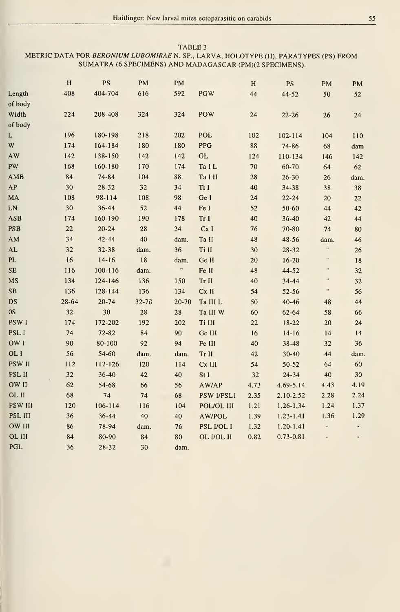### TABLE 3 METRIC DATA FOR BERONIUM LUBOMIRAE N. SP., LARVA, HOLOTYPE (H), PARATYPES (PS) FROM SUMATRA (6 SPECIMENS) AND MADAGASCAR (PM)(2 SPECIMENS).

|                      | $\, {\rm H}$ | PS        | PM        | PM         |                   | H      | <b>PS</b>     | PM            | PM     |
|----------------------|--------------|-----------|-----------|------------|-------------------|--------|---------------|---------------|--------|
| Length               | 408          | 404-704   | 616       | 592        | <b>PGW</b>        | 44     | 44-52         | 50            | 52     |
| of body              |              |           |           |            |                   |        |               |               |        |
| Width                | 224          | 208-408   | 324       | 324        | POW               | 24     | $22 - 26$     | 26            | 24     |
| of body              |              |           |           |            |                   |        |               |               |        |
| L                    | 196          | 180-198   | 218       | 202        | <b>POL</b>        | 102    | $102 - 114$   | 104           | 110    |
| W                    | 174          | 164-184   | 180       | 180        | <b>PPG</b>        | $88\,$ | 74-86         | 68            | dam    |
| AW                   | 142          | 138-150   | 142       | 142        | <b>GL</b>         | 124    | 110-134       | 146           | 142    |
| PW                   | 168          | 160-180   | 170       | 174        | Ta IL             | 70     | 60-70         | 64            | 62     |
| AMB                  | 84           | 74-84     | 104       | 88         | Ta I H            | 28     | $26 - 30$     | 26            | dam.   |
| AP                   | 30           | 28-32     | 32        | 34         | Ti I              | 40     | 34-38         | 38            | 38     |
| MA                   | 108          | 98-114    | 108       | 98         | Ge I              | 24     | $22 - 24$     | 20            | $22\,$ |
| LN                   | 30           | 36-44     | 52        | ${\bf 44}$ | Fe I              | 52     | 50-60         | 44            | $42\,$ |
| <b>ASB</b>           | 174          | 160-190   | 190       | 178        | Tr I              | 40     | 36-40         | 42            | 44     |
| <b>PSB</b>           | 22           | $20 - 24$ | 28        | 24         | Cx I              | 76     | 70-80         | 74            | 80     |
| AM                   | 34           | 42-44     | 40        | dam.       | Ta II             | 48     | 48-56         | dam.          | 46     |
| $\mathbf{AL}$        | 32           | 32-38     | dam.      | 36         | Ti II             | 30     | 28-32         | $\mathbf{u}$  | 26     |
| PL                   | 16           | $14-16$   | 18        | dam.       | Ge II             | 20     | $16 - 20$     | Ħ             | 18     |
| <b>SE</b>            | 116          | 100-116   | dam.      | 11         | Fe II             | 48     | 44-52         | $\mathbf{r}$  | 32     |
| MS                   | 134          | 124-146   | 136       | 150        | Tr II             | 40     | 34-44         | n             | 32     |
| $\mathbf S\mathbf B$ | 136          | 128-144   | 136       | 134        | Cx II             | 54     | $52 - 56$     | Ħ             | 56     |
| DS                   | 28-64        | $20 - 74$ | $32 - 70$ | 20-70      | Ta III L          | 50     | $40 - 46$     | 48            | 44     |
| 0S                   | 32           | 30        | 28        | 28         | Ta III W          | 60     | 62-64         | 58            | 66     |
| PSW I                | 174          | 172-202   | 192       | 202        | Ti III            | 22     | 18-22         | 20            | 24     |
| PSL I                | 74           | $72 - 82$ | 84        | 90         | Ge III            | 16     | $14-16$       | 14            | 14     |
| OW I                 | 90           | 80-100    | 92        | 94         | Fe III            | 40     | 38-48         | 32            | 36     |
| OL I                 | 56           | 54-60     | dam.      | dam.       | Tr II             | 42     | 30-40         | 44            | dam.   |
| PSW II               | 112          | 112-126   | 120       | 114        | Cx III            | 54     | $50 - 52$     | 64            | 60     |
| PSL II               | 32           | 36-40     | 42        | 40         | St I              | 32     | 24-34         | 40            | 30     |
| OW II                | 62           | 54-68     | 66        | 56         | AW/AP             | 4.73   | $4.69 - 5.14$ | 4.43          | 4.19   |
| OL II                | 68           | 74        | 74        | 68         | <b>PSW I/PSLI</b> | 2.35   | 2.10-2.52     | 2.28          | 2.24   |
| <b>PSW III</b>       | 120          | 106-114   | 116       | 104        | POL/OL III        | 1.21   | 1,26-1,34     | 1.24          | 1.37   |
| PSL III              | 36           | $36 - 44$ | 40        | 40         | AW/POL            | 1.39   | $1.23 - 1.41$ | 1.36          | 1.29   |
| OW III               | 86           | 78-94     | dam.      | 76         | PSL I/OL I        | 1.32   | $1.20 - 1.41$ | $\frac{1}{2}$ |        |
| OL III               | 84           | 80-90     | 84        | 80         | OL I/OL II        | 0.82   | $0.73 - 0.81$ |               |        |
| PGL                  | 36           | 28-32     | 30        | dam.       |                   |        |               |               |        |